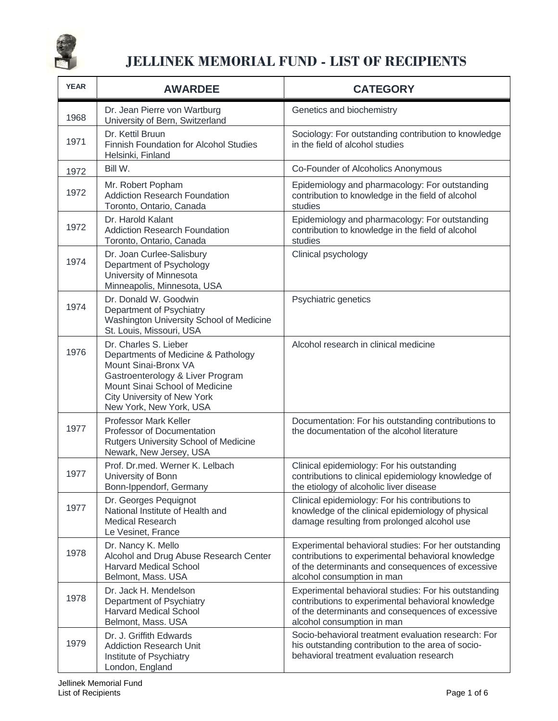

| <b>YEAR</b> | <b>AWARDEE</b>                                                                                                                                                                                                              | <b>CATEGORY</b>                                                                                                                                                                               |
|-------------|-----------------------------------------------------------------------------------------------------------------------------------------------------------------------------------------------------------------------------|-----------------------------------------------------------------------------------------------------------------------------------------------------------------------------------------------|
| 1968        | Dr. Jean Pierre von Wartburg<br>University of Bern, Switzerland                                                                                                                                                             | Genetics and biochemistry                                                                                                                                                                     |
| 1971        | Dr. Kettil Bruun<br><b>Finnish Foundation for Alcohol Studies</b><br>Helsinki, Finland                                                                                                                                      | Sociology: For outstanding contribution to knowledge<br>in the field of alcohol studies                                                                                                       |
| 1972        | Bill W.                                                                                                                                                                                                                     | Co-Founder of Alcoholics Anonymous                                                                                                                                                            |
| 1972        | Mr. Robert Popham<br><b>Addiction Research Foundation</b><br>Toronto, Ontario, Canada                                                                                                                                       | Epidemiology and pharmacology: For outstanding<br>contribution to knowledge in the field of alcohol<br>studies                                                                                |
| 1972        | Dr. Harold Kalant<br><b>Addiction Research Foundation</b><br>Toronto, Ontario, Canada                                                                                                                                       | Epidemiology and pharmacology: For outstanding<br>contribution to knowledge in the field of alcohol<br>studies                                                                                |
| 1974        | Dr. Joan Curlee-Salisbury<br>Department of Psychology<br>University of Minnesota<br>Minneapolis, Minnesota, USA                                                                                                             | Clinical psychology                                                                                                                                                                           |
| 1974        | Dr. Donald W. Goodwin<br>Department of Psychiatry<br>Washington University School of Medicine<br>St. Louis, Missouri, USA                                                                                                   | Psychiatric genetics                                                                                                                                                                          |
| 1976        | Dr. Charles S. Lieber<br>Departments of Medicine & Pathology<br>Mount Sinai-Bronx VA<br>Gastroenterology & Liver Program<br>Mount Sinai School of Medicine<br><b>City University of New York</b><br>New York, New York, USA | Alcohol research in clinical medicine                                                                                                                                                         |
| 1977        | <b>Professor Mark Keller</b><br>Professor of Documentation<br>Rutgers University School of Medicine<br>Newark, New Jersey, USA                                                                                              | Documentation: For his outstanding contributions to<br>the documentation of the alcohol literature                                                                                            |
| 1977        | Prof. Dr.med. Werner K. Lelbach<br>University of Bonn<br>Bonn-Ippendorf, Germany                                                                                                                                            | Clinical epidemiology: For his outstanding<br>contributions to clinical epidemiology knowledge of<br>the etiology of alcoholic liver disease                                                  |
| 1977        | Dr. Georges Pequignot<br>National Institute of Health and<br><b>Medical Research</b><br>Le Vesinet, France                                                                                                                  | Clinical epidemiology: For his contributions to<br>knowledge of the clinical epidemiology of physical<br>damage resulting from prolonged alcohol use                                          |
| 1978        | Dr. Nancy K. Mello<br>Alcohol and Drug Abuse Research Center<br><b>Harvard Medical School</b><br>Belmont, Mass. USA                                                                                                         | Experimental behavioral studies: For her outstanding<br>contributions to experimental behavioral knowledge<br>of the determinants and consequences of excessive<br>alcohol consumption in man |
| 1978        | Dr. Jack H. Mendelson<br>Department of Psychiatry<br><b>Harvard Medical School</b><br>Belmont, Mass. USA                                                                                                                    | Experimental behavioral studies: For his outstanding<br>contributions to experimental behavioral knowledge<br>of the determinants and consequences of excessive<br>alcohol consumption in man |
| 1979        | Dr. J. Griffith Edwards<br><b>Addiction Research Unit</b><br>Institute of Psychiatry<br>London, England                                                                                                                     | Socio-behavioral treatment evaluation research: For<br>his outstanding contribution to the area of socio-<br>behavioral treatment evaluation research                                         |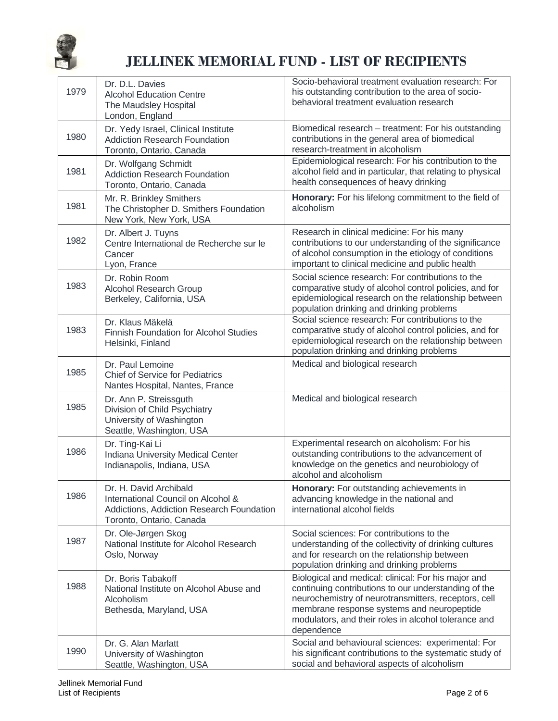

| 1979 | Dr. D.L. Davies<br><b>Alcohol Education Centre</b><br>The Maudsley Hospital<br>London, England                                        | Socio-behavioral treatment evaluation research: For<br>his outstanding contribution to the area of socio-<br>behavioral treatment evaluation research                                                                                                                                   |
|------|---------------------------------------------------------------------------------------------------------------------------------------|-----------------------------------------------------------------------------------------------------------------------------------------------------------------------------------------------------------------------------------------------------------------------------------------|
| 1980 | Dr. Yedy Israel, Clinical Institute<br><b>Addiction Research Foundation</b><br>Toronto, Ontario, Canada                               | Biomedical research - treatment: For his outstanding<br>contributions in the general area of biomedical<br>research-treatment in alcoholism                                                                                                                                             |
| 1981 | Dr. Wolfgang Schmidt<br><b>Addiction Research Foundation</b><br>Toronto, Ontario, Canada                                              | Epidemiological research: For his contribution to the<br>alcohol field and in particular, that relating to physical<br>health consequences of heavy drinking                                                                                                                            |
| 1981 | Mr. R. Brinkley Smithers<br>The Christopher D. Smithers Foundation<br>New York, New York, USA                                         | Honorary: For his lifelong commitment to the field of<br>alcoholism                                                                                                                                                                                                                     |
| 1982 | Dr. Albert J. Tuyns<br>Centre International de Recherche sur le<br>Cancer<br>Lyon, France                                             | Research in clinical medicine: For his many<br>contributions to our understanding of the significance<br>of alcohol consumption in the etiology of conditions<br>important to clinical medicine and public health                                                                       |
| 1983 | Dr. Robin Room<br>Alcohol Research Group<br>Berkeley, California, USA                                                                 | Social science research: For contributions to the<br>comparative study of alcohol control policies, and for<br>epidemiological research on the relationship between<br>population drinking and drinking problems                                                                        |
| 1983 | Dr. Klaus Mäkelä<br>Finnish Foundation for Alcohol Studies<br>Helsinki, Finland                                                       | Social science research: For contributions to the<br>comparative study of alcohol control policies, and for<br>epidemiological research on the relationship between<br>population drinking and drinking problems                                                                        |
| 1985 | Dr. Paul Lemoine<br><b>Chief of Service for Pediatrics</b><br>Nantes Hospital, Nantes, France                                         | Medical and biological research                                                                                                                                                                                                                                                         |
| 1985 | Dr. Ann P. Streissguth<br>Division of Child Psychiatry<br>University of Washington<br>Seattle, Washington, USA                        | Medical and biological research                                                                                                                                                                                                                                                         |
| 1986 | Dr. Ting-Kai Li<br><b>Indiana University Medical Center</b><br>Indianapolis, Indiana, USA                                             | Experimental research on alcoholism: For his<br>outstanding contributions to the advancement of<br>knowledge on the genetics and neurobiology of<br>alcohol and alcoholism                                                                                                              |
| 1986 | Dr. H. David Archibald<br>International Council on Alcohol &<br>Addictions, Addiction Research Foundation<br>Toronto, Ontario, Canada | Honorary: For outstanding achievements in<br>advancing knowledge in the national and<br>international alcohol fields                                                                                                                                                                    |
| 1987 | Dr. Ole-Jørgen Skog<br>National Institute for Alcohol Research<br>Oslo, Norway                                                        | Social sciences: For contributions to the<br>understanding of the collectivity of drinking cultures<br>and for research on the relationship between<br>population drinking and drinking problems                                                                                        |
| 1988 | Dr. Boris Tabakoff<br>National Institute on Alcohol Abuse and<br>Alcoholism<br>Bethesda, Maryland, USA                                | Biological and medical: clinical: For his major and<br>continuing contributions to our understanding of the<br>neurochemistry of neurotransmitters, receptors, cell<br>membrane response systems and neuropeptide<br>modulators, and their roles in alcohol tolerance and<br>dependence |
| 1990 | Dr. G. Alan Marlatt<br>University of Washington<br>Seattle, Washington, USA                                                           | Social and behavioural sciences: experimental: For<br>his significant contributions to the systematic study of<br>social and behavioral aspects of alcoholism                                                                                                                           |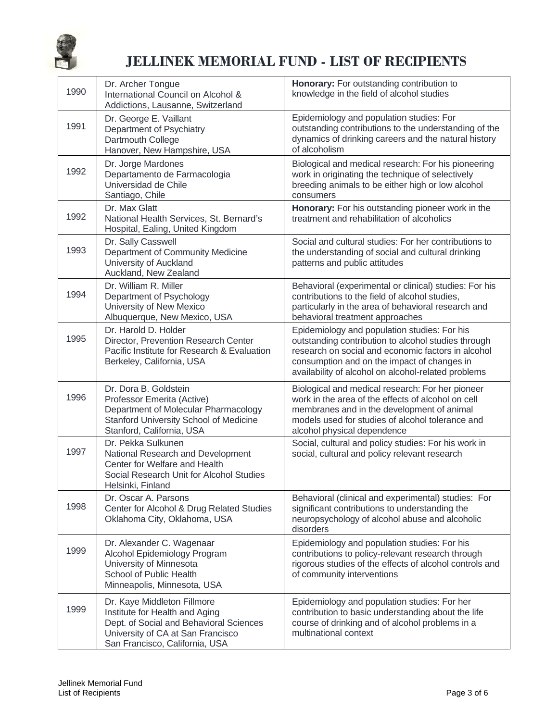

| 1990 | Dr. Archer Tongue<br>International Council on Alcohol &<br>Addictions, Lausanne, Switzerland                                                                                    | Honorary: For outstanding contribution to<br>knowledge in the field of alcohol studies                                                                                                                                                                          |
|------|---------------------------------------------------------------------------------------------------------------------------------------------------------------------------------|-----------------------------------------------------------------------------------------------------------------------------------------------------------------------------------------------------------------------------------------------------------------|
| 1991 | Dr. George E. Vaillant<br>Department of Psychiatry<br>Dartmouth College<br>Hanover, New Hampshire, USA                                                                          | Epidemiology and population studies: For<br>outstanding contributions to the understanding of the<br>dynamics of drinking careers and the natural history<br>of alcoholism                                                                                      |
| 1992 | Dr. Jorge Mardones<br>Departamento de Farmacologia<br>Universidad de Chile<br>Santiago, Chile                                                                                   | Biological and medical research: For his pioneering<br>work in originating the technique of selectively<br>breeding animals to be either high or low alcohol<br>consumers                                                                                       |
| 1992 | Dr. Max Glatt<br>National Health Services, St. Bernard's<br>Hospital, Ealing, United Kingdom                                                                                    | Honorary: For his outstanding pioneer work in the<br>treatment and rehabilitation of alcoholics                                                                                                                                                                 |
| 1993 | Dr. Sally Casswell<br>Department of Community Medicine<br>University of Auckland<br>Auckland, New Zealand                                                                       | Social and cultural studies: For her contributions to<br>the understanding of social and cultural drinking<br>patterns and public attitudes                                                                                                                     |
| 1994 | Dr. William R. Miller<br>Department of Psychology<br>University of New Mexico<br>Albuquerque, New Mexico, USA                                                                   | Behavioral (experimental or clinical) studies: For his<br>contributions to the field of alcohol studies,<br>particularly in the area of behavioral research and<br>behavioral treatment approaches                                                              |
| 1995 | Dr. Harold D. Holder<br>Director, Prevention Research Center<br>Pacific Institute for Research & Evaluation<br>Berkeley, California, USA                                        | Epidemiology and population studies: For his<br>outstanding contribution to alcohol studies through<br>research on social and economic factors in alcohol<br>consumption and on the impact of changes in<br>availability of alcohol on alcohol-related problems |
| 1996 | Dr. Dora B. Goldstein<br>Professor Emerita (Active)<br>Department of Molecular Pharmacology<br>Stanford University School of Medicine<br>Stanford, California, USA              | Biological and medical research: For her pioneer<br>work in the area of the effects of alcohol on cell<br>membranes and in the development of animal<br>models used for studies of alcohol tolerance and<br>alcohol physical dependence                         |
| 1997 | Dr. Pekka Sulkunen<br>National Research and Development<br>Center for Welfare and Health<br>Social Research Unit for Alcohol Studies<br>Helsinki, Finland                       | Social, cultural and policy studies: For his work in<br>social, cultural and policy relevant research                                                                                                                                                           |
| 1998 | Dr. Oscar A. Parsons<br>Center for Alcohol & Drug Related Studies<br>Oklahoma City, Oklahoma, USA                                                                               | Behavioral (clinical and experimental) studies: For<br>significant contributions to understanding the<br>neuropsychology of alcohol abuse and alcoholic<br>disorders                                                                                            |
| 1999 | Dr. Alexander C. Wagenaar<br>Alcohol Epidemiology Program<br>University of Minnesota<br>School of Public Health<br>Minneapolis, Minnesota, USA                                  | Epidemiology and population studies: For his<br>contributions to policy-relevant research through<br>rigorous studies of the effects of alcohol controls and<br>of community interventions                                                                      |
| 1999 | Dr. Kaye Middleton Fillmore<br>Institute for Health and Aging<br>Dept. of Social and Behavioral Sciences<br>University of CA at San Francisco<br>San Francisco, California, USA | Epidemiology and population studies: For her<br>contribution to basic understanding about the life<br>course of drinking and of alcohol problems in a<br>multinational context                                                                                  |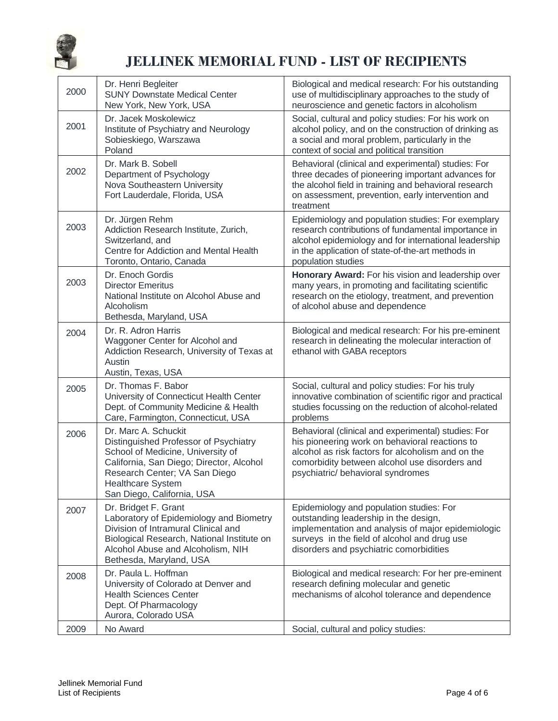

| 2000 | Dr. Henri Begleiter<br><b>SUNY Downstate Medical Center</b><br>New York, New York, USA                                                                                                                                                    | Biological and medical research: For his outstanding<br>use of multidisciplinary approaches to the study of<br>neuroscience and genetic factors in alcoholism                                                                                    |
|------|-------------------------------------------------------------------------------------------------------------------------------------------------------------------------------------------------------------------------------------------|--------------------------------------------------------------------------------------------------------------------------------------------------------------------------------------------------------------------------------------------------|
| 2001 | Dr. Jacek Moskolewicz<br>Institute of Psychiatry and Neurology<br>Sobieskiego, Warszawa<br>Poland                                                                                                                                         | Social, cultural and policy studies: For his work on<br>alcohol policy, and on the construction of drinking as<br>a social and moral problem, particularly in the<br>context of social and political transition                                  |
| 2002 | Dr. Mark B. Sobell<br>Department of Psychology<br>Nova Southeastern University<br>Fort Lauderdale, Florida, USA                                                                                                                           | Behavioral (clinical and experimental) studies: For<br>three decades of pioneering important advances for<br>the alcohol field in training and behavioral research<br>on assessment, prevention, early intervention and<br>treatment             |
| 2003 | Dr. Jürgen Rehm<br>Addiction Research Institute, Zurich,<br>Switzerland, and<br>Centre for Addiction and Mental Health<br>Toronto, Ontario, Canada                                                                                        | Epidemiology and population studies: For exemplary<br>research contributions of fundamental importance in<br>alcohol epidemiology and for international leadership<br>in the application of state-of-the-art methods in<br>population studies    |
| 2003 | Dr. Enoch Gordis<br><b>Director Emeritus</b><br>National Institute on Alcohol Abuse and<br>Alcoholism<br>Bethesda, Maryland, USA                                                                                                          | Honorary Award: For his vision and leadership over<br>many years, in promoting and facilitating scientific<br>research on the etiology, treatment, and prevention<br>of alcohol abuse and dependence                                             |
| 2004 | Dr. R. Adron Harris<br>Waggoner Center for Alcohol and<br>Addiction Research, University of Texas at<br>Austin<br>Austin, Texas, USA                                                                                                      | Biological and medical research: For his pre-eminent<br>research in delineating the molecular interaction of<br>ethanol with GABA receptors                                                                                                      |
| 2005 | Dr. Thomas F. Babor<br>University of Connecticut Health Center<br>Dept. of Community Medicine & Health<br>Care, Farmington, Connecticut, USA                                                                                              | Social, cultural and policy studies: For his truly<br>innovative combination of scientific rigor and practical<br>studies focussing on the reduction of alcohol-related<br>problems                                                              |
| 2006 | Dr. Marc A. Schuckit<br>Distinguished Professor of Psychiatry<br>School of Medicine, University of<br>California, San Diego; Director, Alcohol<br>Research Center; VA San Diego<br><b>Healthcare System</b><br>San Diego, California, USA | Behavioral (clinical and experimental) studies: For<br>his pioneering work on behavioral reactions to<br>alcohol as risk factors for alcoholism and on the<br>comorbidity between alcohol use disorders and<br>psychiatric/ behavioral syndromes |
| 2007 | Dr. Bridget F. Grant<br>Laboratory of Epidemiology and Biometry<br>Division of Intramural Clinical and<br>Biological Research, National Institute on<br>Alcohol Abuse and Alcoholism, NIH<br>Bethesda, Maryland, USA                      | Epidemiology and population studies: For<br>outstanding leadership in the design,<br>implementation and analysis of major epidemiologic<br>surveys in the field of alcohol and drug use<br>disorders and psychiatric comorbidities               |
| 2008 | Dr. Paula L. Hoffman<br>University of Colorado at Denver and<br><b>Health Sciences Center</b><br>Dept. Of Pharmacology<br>Aurora, Colorado USA                                                                                            | Biological and medical research: For her pre-eminent<br>research defining molecular and genetic<br>mechanisms of alcohol tolerance and dependence                                                                                                |
| 2009 | No Award                                                                                                                                                                                                                                  | Social, cultural and policy studies:                                                                                                                                                                                                             |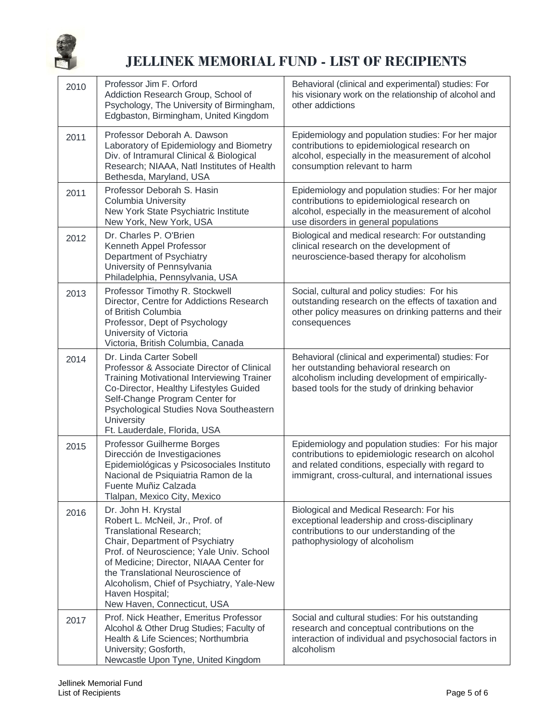

| 2010 | Professor Jim F. Orford<br>Addiction Research Group, School of<br>Psychology, The University of Birmingham,<br>Edgbaston, Birmingham, United Kingdom                                                                                                                                                                                            | Behavioral (clinical and experimental) studies: For<br>his visionary work on the relationship of alcohol and<br>other addictions                                                                                     |
|------|-------------------------------------------------------------------------------------------------------------------------------------------------------------------------------------------------------------------------------------------------------------------------------------------------------------------------------------------------|----------------------------------------------------------------------------------------------------------------------------------------------------------------------------------------------------------------------|
| 2011 | Professor Deborah A. Dawson<br>Laboratory of Epidemiology and Biometry<br>Div. of Intramural Clinical & Biological<br>Research; NIAAA, Natl Institutes of Health<br>Bethesda, Maryland, USA                                                                                                                                                     | Epidemiology and population studies: For her major<br>contributions to epidemiological research on<br>alcohol, especially in the measurement of alcohol<br>consumption relevant to harm                              |
| 2011 | Professor Deborah S. Hasin<br><b>Columbia University</b><br>New York State Psychiatric Institute<br>New York, New York, USA                                                                                                                                                                                                                     | Epidemiology and population studies: For her major<br>contributions to epidemiological research on<br>alcohol, especially in the measurement of alcohol<br>use disorders in general populations                      |
| 2012 | Dr. Charles P. O'Brien<br>Kenneth Appel Professor<br>Department of Psychiatry<br>University of Pennsylvania<br>Philadelphia, Pennsylvania, USA                                                                                                                                                                                                  | Biological and medical research: For outstanding<br>clinical research on the development of<br>neuroscience-based therapy for alcoholism                                                                             |
| 2013 | Professor Timothy R. Stockwell<br>Director, Centre for Addictions Research<br>of British Columbia<br>Professor, Dept of Psychology<br>University of Victoria<br>Victoria, British Columbia, Canada                                                                                                                                              | Social, cultural and policy studies: For his<br>outstanding research on the effects of taxation and<br>other policy measures on drinking patterns and their<br>consequences                                          |
| 2014 | Dr. Linda Carter Sobell<br>Professor & Associate Director of Clinical<br><b>Training Motivational Interviewing Trainer</b><br>Co-Director, Healthy Lifestyles Guided<br>Self-Change Program Center for<br>Psychological Studies Nova Southeastern<br>University<br>Ft. Lauderdale, Florida, USA                                                 | Behavioral (clinical and experimental) studies: For<br>her outstanding behavioral research on<br>alcoholism including development of empirically-<br>based tools for the study of drinking behavior                  |
| 2015 | Professor Guilherme Borges<br>Dirección de Investigaciones<br>Epidemiológicas y Psicosociales Instituto<br>Nacional de Psiquiatria Ramon de la<br>Fuente Muñiz Calzada<br>Tlalpan, Mexico City, Mexico                                                                                                                                          | Epidemiology and population studies: For his major<br>contributions to epidemiologic research on alcohol<br>and related conditions, especially with regard to<br>immigrant, cross-cultural, and international issues |
| 2016 | Dr. John H. Krystal<br>Robert L. McNeil, Jr., Prof. of<br>Translational Research;<br>Chair, Department of Psychiatry<br>Prof. of Neuroscience; Yale Univ. School<br>of Medicine; Director, NIAAA Center for<br>the Translational Neuroscience of<br>Alcoholism, Chief of Psychiatry, Yale-New<br>Haven Hospital;<br>New Haven, Connecticut, USA | Biological and Medical Research: For his<br>exceptional leadership and cross-disciplinary<br>contributions to our understanding of the<br>pathophysiology of alcoholism                                              |
| 2017 | Prof. Nick Heather, Emeritus Professor<br>Alcohol & Other Drug Studies; Faculty of<br>Health & Life Sciences; Northumbria<br>University; Gosforth,<br>Newcastle Upon Tyne, United Kingdom                                                                                                                                                       | Social and cultural studies: For his outstanding<br>research and conceptual contributions on the<br>interaction of individual and psychosocial factors in<br>alcoholism                                              |